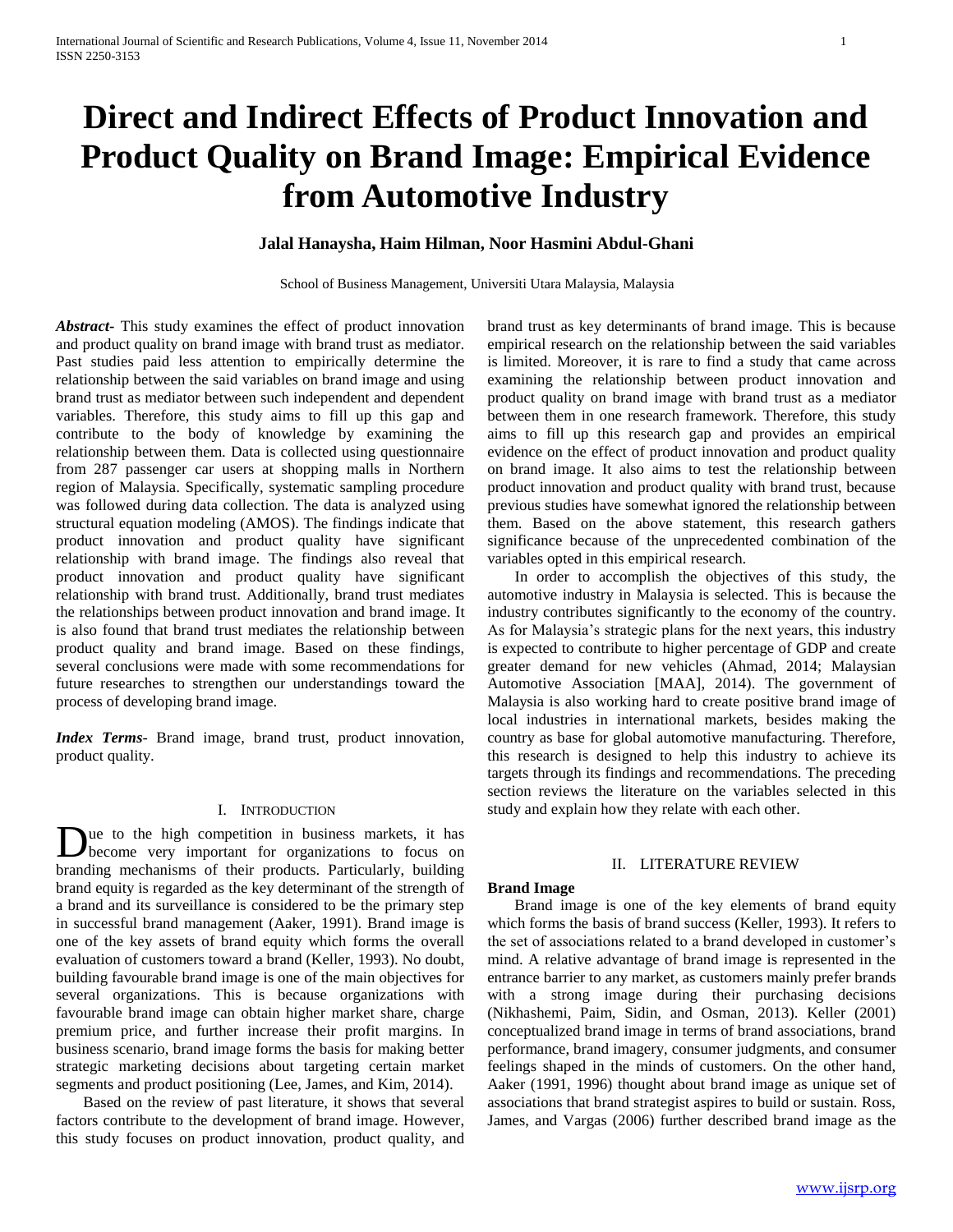# **Direct and Indirect Effects of Product Innovation and Product Quality on Brand Image: Empirical Evidence from Automotive Industry**

# **Jalal Hanaysha, Haim Hilman, Noor Hasmini Abdul-Ghani**

School of Business Management, Universiti Utara Malaysia, Malaysia

*Abstract***-** This study examines the effect of product innovation and product quality on brand image with brand trust as mediator. Past studies paid less attention to empirically determine the relationship between the said variables on brand image and using brand trust as mediator between such independent and dependent variables. Therefore, this study aims to fill up this gap and contribute to the body of knowledge by examining the relationship between them. Data is collected using questionnaire from 287 passenger car users at shopping malls in Northern region of Malaysia. Specifically, systematic sampling procedure was followed during data collection. The data is analyzed using structural equation modeling (AMOS). The findings indicate that product innovation and product quality have significant relationship with brand image. The findings also reveal that product innovation and product quality have significant relationship with brand trust. Additionally, brand trust mediates the relationships between product innovation and brand image. It is also found that brand trust mediates the relationship between product quality and brand image. Based on these findings, several conclusions were made with some recommendations for future researches to strengthen our understandings toward the process of developing brand image.

*Index Terms*- Brand image, brand trust, product innovation, product quality.

#### I. INTRODUCTION

ue to the high competition in business markets, it has become very important for organizations to focus on Due to the high competition in business markets, it has become very important for organizations to focus on branding mechanisms of their products. Particularly, building brand equity is regarded as the key determinant of the strength of a brand and its surveillance is considered to be the primary step in successful brand management (Aaker, 1991). Brand image is one of the key assets of brand equity which forms the overall evaluation of customers toward a brand (Keller, 1993). No doubt, building favourable brand image is one of the main objectives for several organizations. This is because organizations with favourable brand image can obtain higher market share, charge premium price, and further increase their profit margins. In business scenario, brand image forms the basis for making better strategic marketing decisions about targeting certain market segments and product positioning (Lee, James, and Kim, 2014).

 Based on the review of past literature, it shows that several factors contribute to the development of brand image. However, this study focuses on product innovation, product quality, and brand trust as key determinants of brand image. This is because empirical research on the relationship between the said variables is limited. Moreover, it is rare to find a study that came across examining the relationship between product innovation and product quality on brand image with brand trust as a mediator between them in one research framework. Therefore, this study aims to fill up this research gap and provides an empirical evidence on the effect of product innovation and product quality on brand image. It also aims to test the relationship between product innovation and product quality with brand trust, because previous studies have somewhat ignored the relationship between them. Based on the above statement, this research gathers significance because of the unprecedented combination of the variables opted in this empirical research.

 In order to accomplish the objectives of this study, the automotive industry in Malaysia is selected. This is because the industry contributes significantly to the economy of the country. As for Malaysia's strategic plans for the next years, this industry is expected to contribute to higher percentage of GDP and create greater demand for new vehicles (Ahmad, 2014; Malaysian Automotive Association [MAA], 2014). The government of Malaysia is also working hard to create positive brand image of local industries in international markets, besides making the country as base for global automotive manufacturing. Therefore, this research is designed to help this industry to achieve its targets through its findings and recommendations. The preceding section reviews the literature on the variables selected in this study and explain how they relate with each other.

# II. LITERATURE REVIEW

## **Brand Image**

 Brand image is one of the key elements of brand equity which forms the basis of brand success (Keller, 1993). It refers to the set of associations related to a brand developed in customer's mind. A relative advantage of brand image is represented in the entrance barrier to any market, as customers mainly prefer brands with a strong image during their purchasing decisions (Nikhashemi, Paim, Sidin, and Osman, 2013). Keller (2001) conceptualized brand image in terms of brand associations, brand performance, brand imagery, consumer judgments, and consumer feelings shaped in the minds of customers. On the other hand, Aaker (1991, 1996) thought about brand image as unique set of associations that brand strategist aspires to build or sustain. Ross, James, and Vargas (2006) further described brand image as the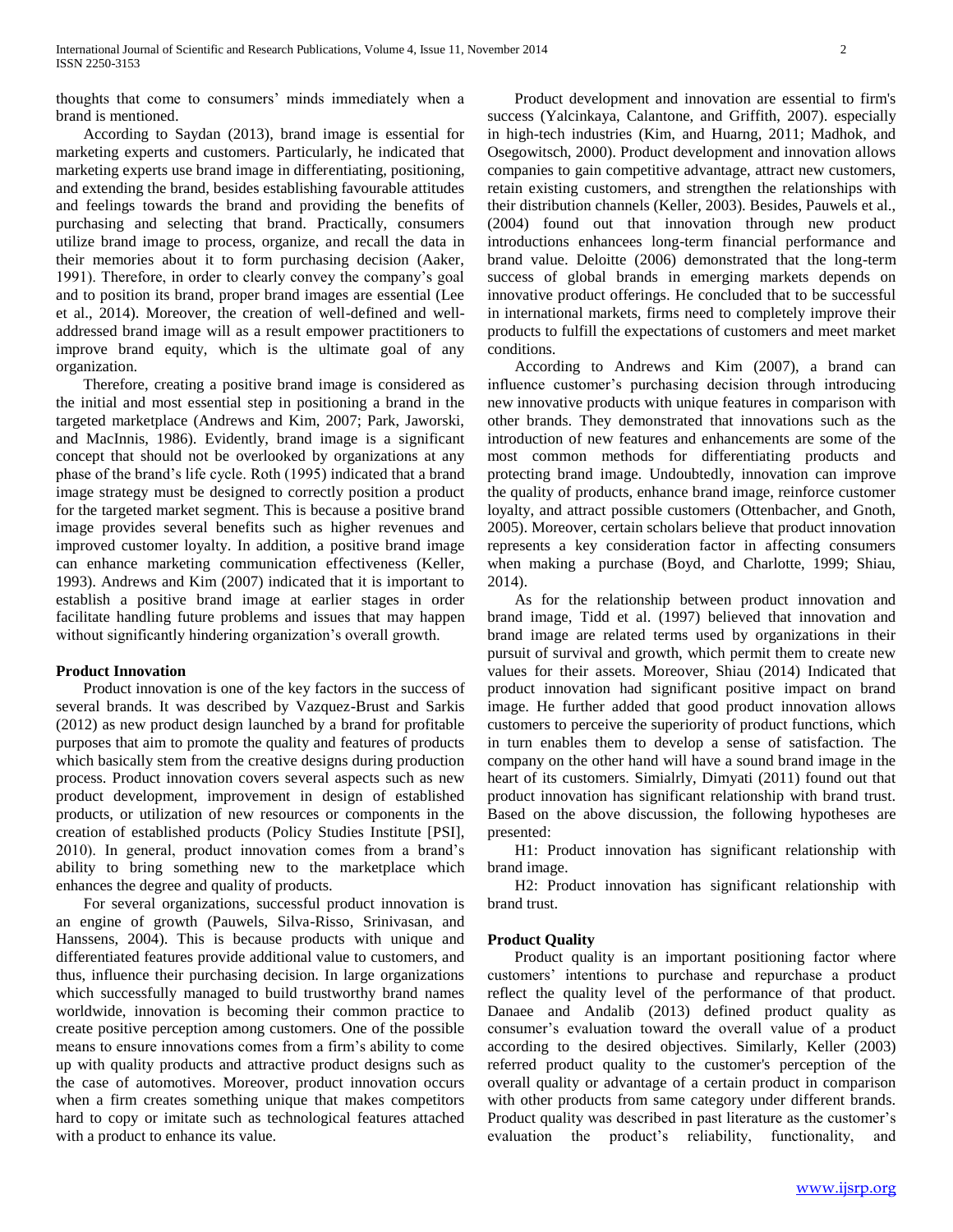thoughts that come to consumers' minds immediately when a brand is mentioned.

 According to Saydan (2013), brand image is essential for marketing experts and customers. Particularly, he indicated that marketing experts use brand image in differentiating, positioning, and extending the brand, besides establishing favourable attitudes and feelings towards the brand and providing the benefits of purchasing and selecting that brand. Practically, consumers utilize brand image to process, organize, and recall the data in their memories about it to form purchasing decision (Aaker, 1991). Therefore, in order to clearly convey the company's goal and to position its brand, proper brand images are essential (Lee et al., 2014). Moreover, the creation of well-defined and welladdressed brand image will as a result empower practitioners to improve brand equity, which is the ultimate goal of any organization.

 Therefore, creating a positive brand image is considered as the initial and most essential step in positioning a brand in the targeted marketplace (Andrews and Kim, 2007; Park, Jaworski, and MacInnis, 1986). Evidently, brand image is a significant concept that should not be overlooked by organizations at any phase of the brand's life cycle. Roth (1995) indicated that a brand image strategy must be designed to correctly position a product for the targeted market segment. This is because a positive brand image provides several benefits such as higher revenues and improved customer loyalty. In addition, a positive brand image can enhance marketing communication effectiveness (Keller, 1993). Andrews and Kim (2007) indicated that it is important to establish a positive brand image at earlier stages in order facilitate handling future problems and issues that may happen without significantly hindering organization's overall growth.

#### **Product Innovation**

 Product innovation is one of the key factors in the success of several brands. It was described by Vazquez-Brust and Sarkis (2012) as new product design launched by a brand for profitable purposes that aim to promote the quality and features of products which basically stem from the creative designs during production process. Product innovation covers several aspects such as new product development, improvement in design of established products, or utilization of new resources or components in the creation of established products (Policy Studies Institute [PSI], 2010). In general, product innovation comes from a brand's ability to bring something new to the marketplace which enhances the degree and quality of products.

 For several organizations, successful product innovation is an engine of growth (Pauwels, Silva-Risso, Srinivasan, and Hanssens, 2004). This is because products with unique and differentiated features provide additional value to customers, and thus, influence their purchasing decision. In large organizations which successfully managed to build trustworthy brand names worldwide, innovation is becoming their common practice to create positive perception among customers. One of the possible means to ensure innovations comes from a firm's ability to come up with quality products and attractive product designs such as the case of automotives. Moreover, product innovation occurs when a firm creates something unique that makes competitors hard to copy or imitate such as technological features attached with a product to enhance its value.

 Product development and innovation are essential to firm's success (Yalcinkaya, Calantone, and Griffith, 2007). especially in high-tech industries (Kim, and Huarng, 2011; Madhok, and Osegowitsch, 2000). Product development and innovation allows companies to gain competitive advantage, attract new customers, retain existing customers, and strengthen the relationships with their distribution channels (Keller, 2003). Besides, Pauwels et al., (2004) found out that innovation through new product introductions enhancees long-term financial performance and brand value. Deloitte (2006) demonstrated that the long-term success of global brands in emerging markets depends on innovative product offerings. He concluded that to be successful in international markets, firms need to completely improve their products to fulfill the expectations of customers and meet market conditions.

 According to Andrews and Kim (2007), a brand can influence customer's purchasing decision through introducing new innovative products with unique features in comparison with other brands. They demonstrated that innovations such as the introduction of new features and enhancements are some of the most common methods for differentiating products and protecting brand image. Undoubtedly, innovation can improve the quality of products, enhance brand image, reinforce customer loyalty, and attract possible customers (Ottenbacher, and Gnoth, 2005). Moreover, certain scholars believe that product innovation represents a key consideration factor in affecting consumers when making a purchase (Boyd, and Charlotte, 1999; Shiau, 2014).

 As for the relationship between product innovation and brand image, Tidd et al. (1997) believed that innovation and brand image are related terms used by organizations in their pursuit of survival and growth, which permit them to create new values for their assets. Moreover, Shiau (2014) Indicated that product innovation had significant positive impact on brand image. He further added that good product innovation allows customers to perceive the superiority of product functions, which in turn enables them to develop a sense of satisfaction. The company on the other hand will have a sound brand image in the heart of its customers. Simialrly, Dimyati (2011) found out that product innovation has significant relationship with brand trust. Based on the above discussion, the following hypotheses are presented:

 H1: Product innovation has significant relationship with brand image.

 H2: Product innovation has significant relationship with brand trust.

#### **Product Quality**

 Product quality is an important positioning factor where customers' intentions to purchase and repurchase a product reflect the quality level of the performance of that product. Danaee and Andalib (2013) defined product quality as consumer's evaluation toward the overall value of a product according to the desired objectives. Similarly, Keller (2003) referred product quality to the customer's perception of the overall quality or advantage of a certain product in comparison with other products from same category under different brands. Product quality was described in past literature as the customer's evaluation the product's reliability, functionality, and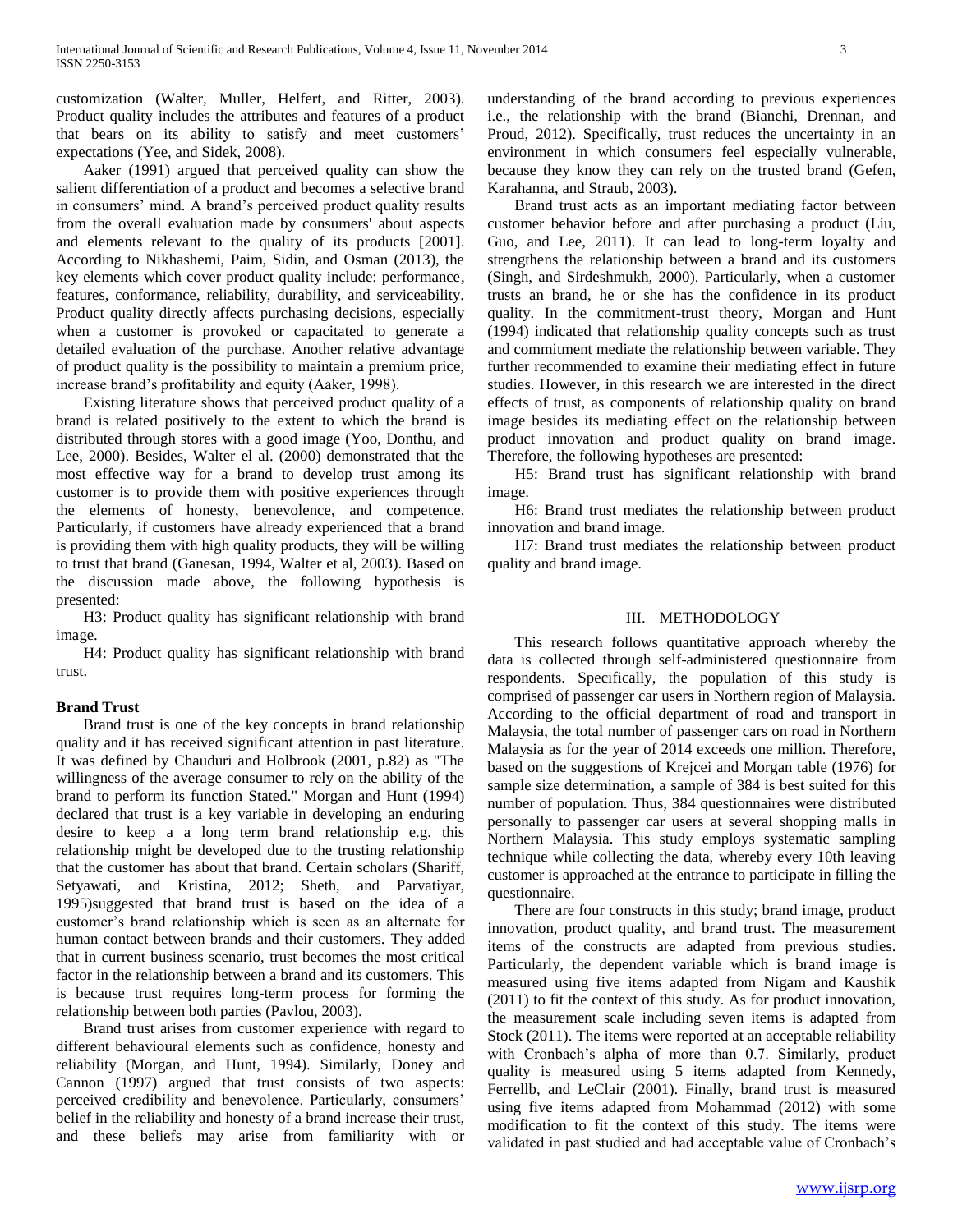customization (Walter, Muller, Helfert, and Ritter, 2003). Product quality includes the attributes and features of a product that bears on its ability to satisfy and meet customers' expectations (Yee, and Sidek, 2008).

 Aaker (1991) argued that perceived quality can show the salient differentiation of a product and becomes a selective brand in consumers' mind. A brand's perceived product quality results from the overall evaluation made by consumers' about aspects and elements relevant to the quality of its products [2001]. According to Nikhashemi, Paim, Sidin, and Osman (2013), the key elements which cover product quality include: performance, features, conformance, reliability, durability, and serviceability. Product quality directly affects purchasing decisions, especially when a customer is provoked or capacitated to generate a detailed evaluation of the purchase. Another relative advantage of product quality is the possibility to maintain a premium price, increase brand's profitability and equity (Aaker, 1998).

 Existing literature shows that perceived product quality of a brand is related positively to the extent to which the brand is distributed through stores with a good image (Yoo, Donthu, and Lee, 2000). Besides, Walter el al. (2000) demonstrated that the most effective way for a brand to develop trust among its customer is to provide them with positive experiences through the elements of honesty, benevolence, and competence. Particularly, if customers have already experienced that a brand is providing them with high quality products, they will be willing to trust that brand (Ganesan, 1994, Walter et al, 2003). Based on the discussion made above, the following hypothesis is presented:

 H3: Product quality has significant relationship with brand image.

 H4: Product quality has significant relationship with brand trust.

#### **Brand Trust**

 Brand trust is one of the key concepts in brand relationship quality and it has received significant attention in past literature. It was defined by Chauduri and Holbrook (2001, p.82) as "The willingness of the average consumer to rely on the ability of the brand to perform its function Stated." Morgan and Hunt (1994) declared that trust is a key variable in developing an enduring desire to keep a a long term brand relationship e.g. this relationship might be developed due to the trusting relationship that the customer has about that brand. Certain scholars (Shariff, Setyawati, and Kristina, 2012; Sheth, and Parvatiyar, 1995)suggested that brand trust is based on the idea of a customer's brand relationship which is seen as an alternate for human contact between brands and their customers. They added that in current business scenario, trust becomes the most critical factor in the relationship between a brand and its customers. This is because trust requires long-term process for forming the relationship between both parties (Pavlou, 2003).

 Brand trust arises from customer experience with regard to different behavioural elements such as confidence, honesty and reliability (Morgan, and Hunt, 1994). Similarly, Doney and Cannon (1997) argued that trust consists of two aspects: perceived credibility and benevolence. Particularly, consumers' belief in the reliability and honesty of a brand increase their trust, and these beliefs may arise from familiarity with or

understanding of the brand according to previous experiences i.e., the relationship with the brand (Bianchi, Drennan, and Proud, 2012). Specifically, trust reduces the uncertainty in an environment in which consumers feel especially vulnerable, because they know they can rely on the trusted brand (Gefen, Karahanna, and Straub, 2003).

 Brand trust acts as an important mediating factor between customer behavior before and after purchasing a product (Liu, Guo, and Lee, 2011). It can lead to long-term loyalty and strengthens the relationship between a brand and its customers (Singh, and Sirdeshmukh, 2000). Particularly, when a customer trusts an brand, he or she has the confidence in its product quality. In the commitment-trust theory, Morgan and Hunt (1994) indicated that relationship quality concepts such as trust and commitment mediate the relationship between variable. They further recommended to examine their mediating effect in future studies. However, in this research we are interested in the direct effects of trust, as components of relationship quality on brand image besides its mediating effect on the relationship between product innovation and product quality on brand image. Therefore, the following hypotheses are presented:

 H5: Brand trust has significant relationship with brand image.

 H6: Brand trust mediates the relationship between product innovation and brand image.

 H7: Brand trust mediates the relationship between product quality and brand image.

#### III. METHODOLOGY

 This research follows quantitative approach whereby the data is collected through self-administered questionnaire from respondents. Specifically, the population of this study is comprised of passenger car users in Northern region of Malaysia. According to the official department of road and transport in Malaysia, the total number of passenger cars on road in Northern Malaysia as for the year of 2014 exceeds one million. Therefore, based on the suggestions of Krejcei and Morgan table (1976) for sample size determination, a sample of 384 is best suited for this number of population. Thus, 384 questionnaires were distributed personally to passenger car users at several shopping malls in Northern Malaysia. This study employs systematic sampling technique while collecting the data, whereby every 10th leaving customer is approached at the entrance to participate in filling the questionnaire.

 There are four constructs in this study; brand image, product innovation, product quality, and brand trust. The measurement items of the constructs are adapted from previous studies. Particularly, the dependent variable which is brand image is measured using five items adapted from Nigam and Kaushik (2011) to fit the context of this study. As for product innovation, the measurement scale including seven items is adapted from Stock (2011). The items were reported at an acceptable reliability with Cronbach's alpha of more than 0.7. Similarly, product quality is measured using 5 items adapted from Kennedy, Ferrellb, and LeClair (2001). Finally, brand trust is measured using five items adapted from Mohammad (2012) with some modification to fit the context of this study. The items were validated in past studied and had acceptable value of Cronbach's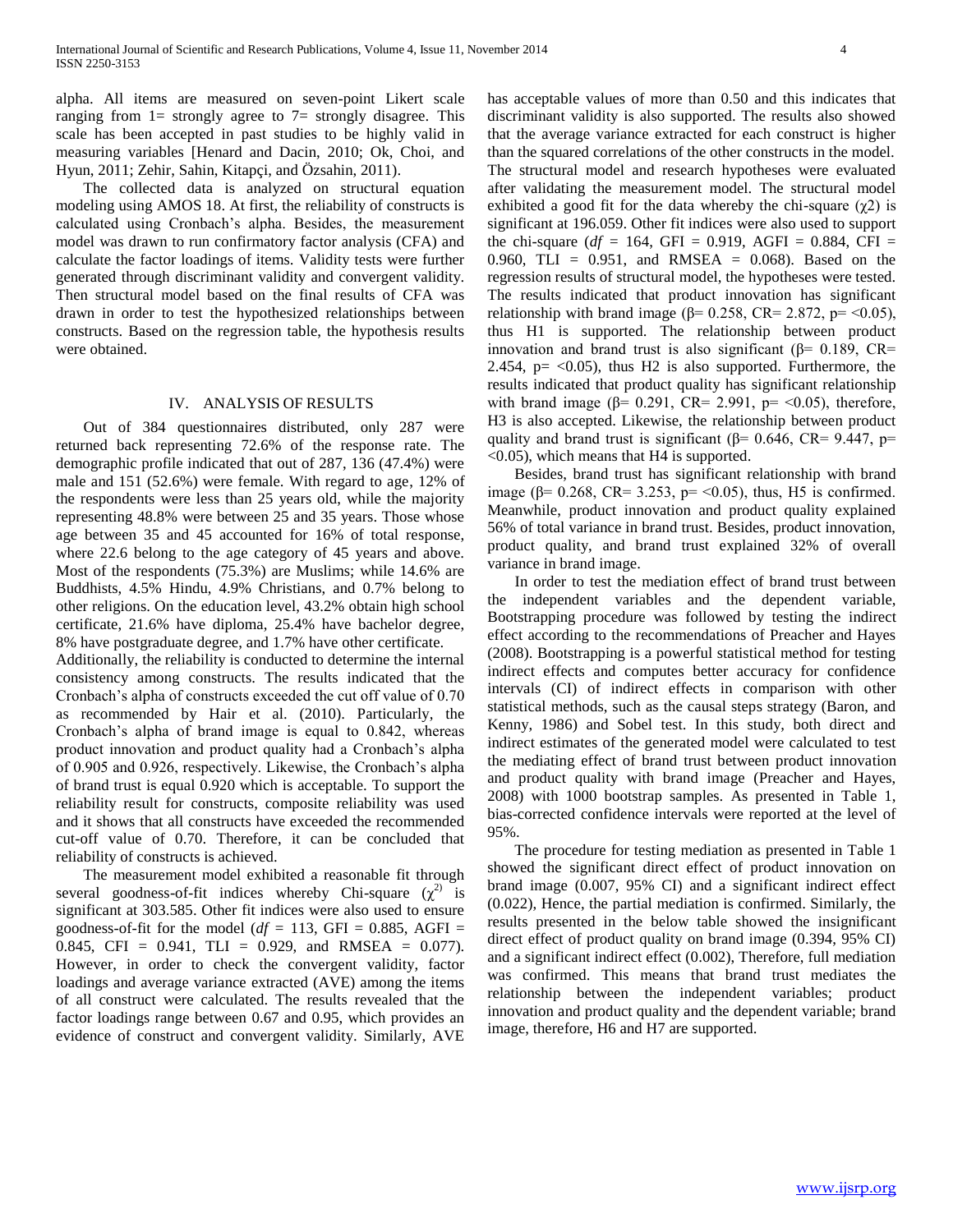alpha. All items are measured on seven-point Likert scale ranging from  $l =$  strongly agree to  $7 =$  strongly disagree. This scale has been accepted in past studies to be highly valid in measuring variables [Henard and Dacin, 2010; Ok, Choi, and Hyun, 2011; Zehir, Sahin, Kitapçi, and Özsahin, 2011).

 The collected data is analyzed on structural equation modeling using AMOS 18. At first, the reliability of constructs is calculated using Cronbach's alpha. Besides, the measurement model was drawn to run confirmatory factor analysis (CFA) and calculate the factor loadings of items. Validity tests were further generated through discriminant validity and convergent validity. Then structural model based on the final results of CFA was drawn in order to test the hypothesized relationships between constructs. Based on the regression table, the hypothesis results were obtained.

#### IV. ANALYSIS OF RESULTS

 Out of 384 questionnaires distributed, only 287 were returned back representing 72.6% of the response rate. The demographic profile indicated that out of 287, 136 (47.4%) were male and 151 (52.6%) were female. With regard to age, 12% of the respondents were less than 25 years old, while the majority representing 48.8% were between 25 and 35 years. Those whose age between 35 and 45 accounted for 16% of total response, where 22.6 belong to the age category of 45 years and above. Most of the respondents (75.3%) are Muslims; while 14.6% are Buddhists, 4.5% Hindu, 4.9% Christians, and 0.7% belong to other religions. On the education level, 43.2% obtain high school certificate, 21.6% have diploma, 25.4% have bachelor degree, 8% have postgraduate degree, and 1.7% have other certificate.

Additionally, the reliability is conducted to determine the internal consistency among constructs. The results indicated that the Cronbach's alpha of constructs exceeded the cut off value of 0.70 as recommended by Hair et al. (2010). Particularly, the Cronbach's alpha of brand image is equal to 0.842, whereas product innovation and product quality had a Cronbach's alpha of 0.905 and 0.926, respectively. Likewise, the Cronbach's alpha of brand trust is equal 0.920 which is acceptable. To support the reliability result for constructs, composite reliability was used and it shows that all constructs have exceeded the recommended cut-off value of 0.70. Therefore, it can be concluded that reliability of constructs is achieved.

 The measurement model exhibited a reasonable fit through several goodness-of-fit indices whereby Chi-square  $(\chi^2)$  is significant at 303.585. Other fit indices were also used to ensure goodness-of-fit for the model ( $df = 113$ , GFI = 0.885, AGFI = 0.845, CFI =  $0.941$ , TLI = 0.929, and RMSEA = 0.077). However, in order to check the convergent validity, factor loadings and average variance extracted (AVE) among the items of all construct were calculated. The results revealed that the factor loadings range between 0.67 and 0.95, which provides an evidence of construct and convergent validity. Similarly, AVE

has acceptable values of more than 0.50 and this indicates that discriminant validity is also supported. The results also showed that the average variance extracted for each construct is higher than the squared correlations of the other constructs in the model. The structural model and research hypotheses were evaluated after validating the measurement model. The structural model exhibited a good fit for the data whereby the chi-square  $(\chi^2)$  is significant at 196.059. Other fit indices were also used to support the chi-square ( $df = 164$ , GFI = 0.919, AGFI = 0.884, CFI = 0.960, TLI =  $0.951$ , and RMSEA = 0.068). Based on the regression results of structural model, the hypotheses were tested. The results indicated that product innovation has significant relationship with brand image ( $\beta$ = 0.258, CR= 2.872, p= <0.05), thus H1 is supported. The relationship between product innovation and brand trust is also significant ( $\beta$ = 0.189, CR= 2.454,  $p = <0.05$ ), thus H2 is also supported. Furthermore, the results indicated that product quality has significant relationship with brand image ( $\beta$ = 0.291, CR= 2.991, p= <0.05), therefore, H3 is also accepted. Likewise, the relationship between product quality and brand trust is significant ( $\beta$ = 0.646, CR= 9.447, p= <0.05), which means that H4 is supported.

 Besides, brand trust has significant relationship with brand image (β= 0.268, CR= 3.253, p= <0.05), thus, H5 is confirmed. Meanwhile, product innovation and product quality explained 56% of total variance in brand trust. Besides, product innovation, product quality, and brand trust explained 32% of overall variance in brand image.

 In order to test the mediation effect of brand trust between the independent variables and the dependent variable, Bootstrapping procedure was followed by testing the indirect effect according to the recommendations of Preacher and Hayes (2008). Bootstrapping is a powerful statistical method for testing indirect effects and computes better accuracy for confidence intervals (CI) of indirect effects in comparison with other statistical methods, such as the causal steps strategy (Baron, and Kenny, 1986) and Sobel test. In this study, both direct and indirect estimates of the generated model were calculated to test the mediating effect of brand trust between product innovation and product quality with brand image (Preacher and Hayes, 2008) with 1000 bootstrap samples. As presented in Table 1, bias-corrected confidence intervals were reported at the level of 95%.

 The procedure for testing mediation as presented in Table 1 showed the significant direct effect of product innovation on brand image (0.007, 95% CI) and a significant indirect effect (0.022), Hence, the partial mediation is confirmed. Similarly, the results presented in the below table showed the insignificant direct effect of product quality on brand image (0.394, 95% CI) and a significant indirect effect (0.002), Therefore, full mediation was confirmed. This means that brand trust mediates the relationship between the independent variables; product innovation and product quality and the dependent variable; brand image, therefore, H6 and H7 are supported.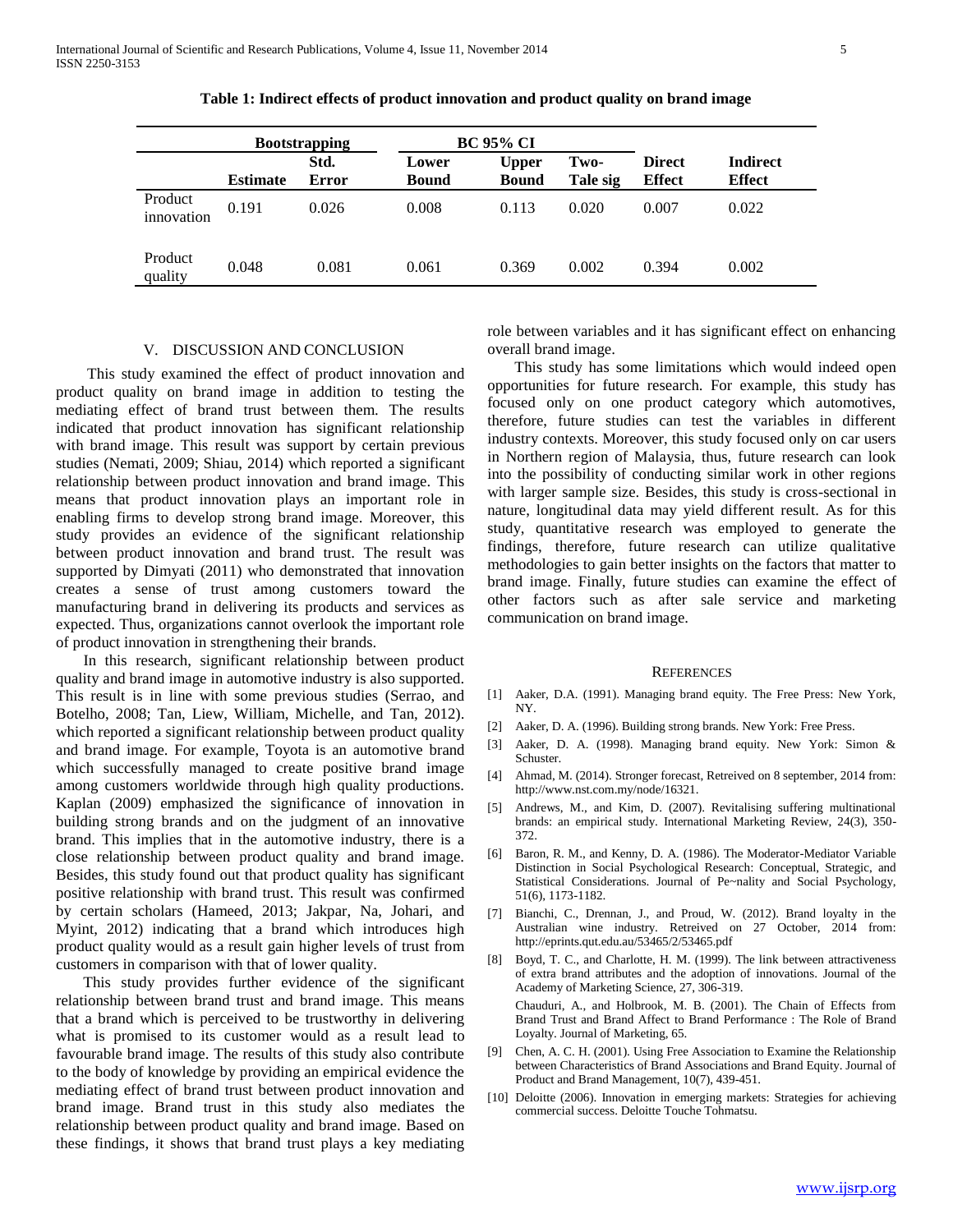|                       | <b>Bootstrapping</b> |                      | <b>BC 95% CI</b>      |                              |                  |                                |                                  |
|-----------------------|----------------------|----------------------|-----------------------|------------------------------|------------------|--------------------------------|----------------------------------|
|                       | <b>Estimate</b>      | Std.<br><b>Error</b> | Lower<br><b>Bound</b> | <b>Upper</b><br><b>Bound</b> | Two-<br>Tale sig | <b>Direct</b><br><b>Effect</b> | <b>Indirect</b><br><b>Effect</b> |
| Product<br>innovation | 0.191                | 0.026                | 0.008                 | 0.113                        | 0.020            | 0.007                          | 0.022                            |
| Product<br>quality    | 0.048                | 0.081                | 0.061                 | 0.369                        | 0.002            | 0.394                          | 0.002                            |

**Table 1: Indirect effects of product innovation and product quality on brand image**

# V. DISCUSSION AND CONCLUSION

 This study examined the effect of product innovation and product quality on brand image in addition to testing the mediating effect of brand trust between them. The results indicated that product innovation has significant relationship with brand image. This result was support by certain previous studies (Nemati, 2009; Shiau, 2014) which reported a significant relationship between product innovation and brand image. This means that product innovation plays an important role in enabling firms to develop strong brand image. Moreover, this study provides an evidence of the significant relationship between product innovation and brand trust. The result was supported by Dimyati (2011) who demonstrated that innovation creates a sense of trust among customers toward the manufacturing brand in delivering its products and services as expected. Thus, organizations cannot overlook the important role of product innovation in strengthening their brands.

 In this research, significant relationship between product quality and brand image in automotive industry is also supported. This result is in line with some previous studies (Serrao, and Botelho, 2008; Tan, Liew, William, Michelle, and Tan, 2012). which reported a significant relationship between product quality and brand image. For example, Toyota is an automotive brand which successfully managed to create positive brand image among customers worldwide through high quality productions. Kaplan (2009) emphasized the significance of innovation in building strong brands and on the judgment of an innovative brand. This implies that in the automotive industry, there is a close relationship between product quality and brand image. Besides, this study found out that product quality has significant positive relationship with brand trust. This result was confirmed by certain scholars (Hameed, 2013; Jakpar, Na, Johari, and Myint, 2012) indicating that a brand which introduces high product quality would as a result gain higher levels of trust from customers in comparison with that of lower quality.

 This study provides further evidence of the significant relationship between brand trust and brand image. This means that a brand which is perceived to be trustworthy in delivering what is promised to its customer would as a result lead to favourable brand image. The results of this study also contribute to the body of knowledge by providing an empirical evidence the mediating effect of brand trust between product innovation and brand image. Brand trust in this study also mediates the relationship between product quality and brand image. Based on these findings, it shows that brand trust plays a key mediating role between variables and it has significant effect on enhancing overall brand image.

 This study has some limitations which would indeed open opportunities for future research. For example, this study has focused only on one product category which automotives, therefore, future studies can test the variables in different industry contexts. Moreover, this study focused only on car users in Northern region of Malaysia, thus, future research can look into the possibility of conducting similar work in other regions with larger sample size. Besides, this study is cross-sectional in nature, longitudinal data may yield different result. As for this study, quantitative research was employed to generate the findings, therefore, future research can utilize qualitative methodologies to gain better insights on the factors that matter to brand image. Finally, future studies can examine the effect of other factors such as after sale service and marketing communication on brand image.

#### **REFERENCES**

- [1] Aaker, D.A. (1991). Managing brand equity. The Free Press: New York, NY.
- [2] Aaker, D. A. (1996). Building strong brands. New York: Free Press.
- [3] Aaker, D. A. (1998). Managing brand equity. New York: Simon & Schuster.
- [4] Ahmad, M. (2014). Stronger forecast, Retreived on 8 september, 2014 from: http://www.nst.com.my/node/16321.
- [5] Andrews, M., and Kim, D. (2007). Revitalising suffering multinational brands: an empirical study. International Marketing Review, 24(3), 350- 372.
- [6] Baron, R. M., and Kenny, D. A. (1986). The Moderator-Mediator Variable Distinction in Social Psychological Research: Conceptual, Strategic, and Statistical Considerations. Journal of Pe~nality and Social Psychology, 51(6), 1173-1182.
- [7] Bianchi, C., Drennan, J., and Proud, W. (2012). Brand loyalty in the Australian wine industry. Retreived on 27 October, 2014 from: http://eprints.qut.edu.au/53465/2/53465.pdf
- [8] Boyd, T. C., and Charlotte, H. M. (1999). The link between attractiveness of extra brand attributes and the adoption of innovations. Journal of the Academy of Marketing Science, 27, 306-319. Chauduri, A., and Holbrook, M. B. (2001). The Chain of Effects from

Brand Trust and Brand Affect to Brand Performance : The Role of Brand Loyalty. Journal of Marketing, 65.

- [9] Chen, A. C. H. (2001). Using Free Association to Examine the Relationship between Characteristics of Brand Associations and Brand Equity. Journal of Product and Brand Management, 10(7), 439-451.
- [10] Deloitte (2006). Innovation in emerging markets: Strategies for achieving commercial success. Deloitte Touche Tohmatsu.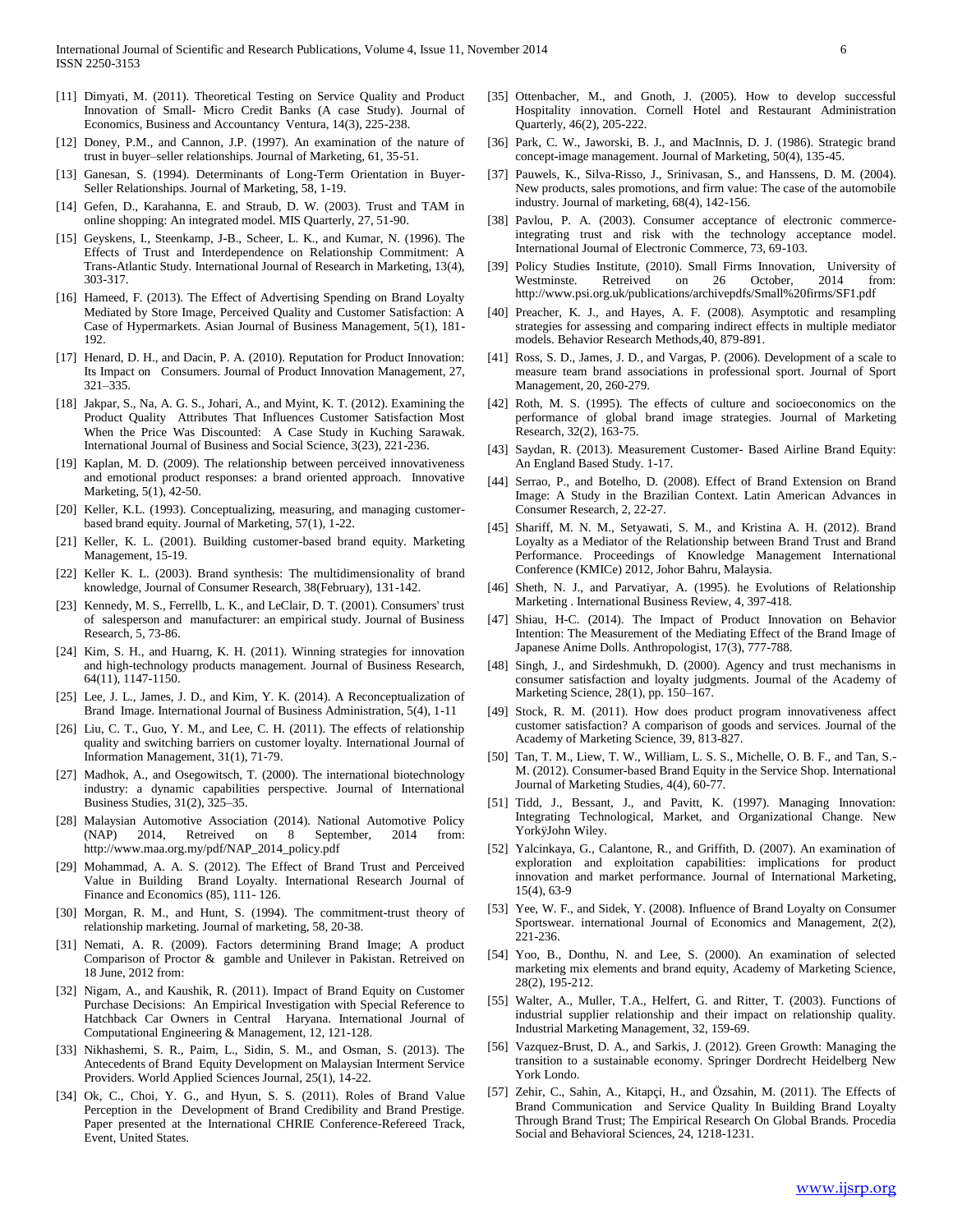- [11] Dimyati, M. (2011). Theoretical Testing on Service Quality and Product Innovation of Small- Micro Credit Banks (A case Study). Journal of Economics, Business and Accountancy Ventura, 14(3), 225-238.
- [12] Doney, P.M., and Cannon, J.P. (1997). An examination of the nature of trust in buyer–seller relationships. Journal of Marketing, 61, 35-51.
- [13] Ganesan, S. (1994). Determinants of Long-Term Orientation in Buyer-Seller Relationships. Journal of Marketing, 58, 1-19.
- [14] Gefen, D., Karahanna, E. and Straub, D. W. (2003). Trust and TAM in online shopping: An integrated model. MIS Quarterly, 27, 51-90.
- [15] Geyskens, I., Steenkamp, J-B., Scheer, L. K., and Kumar, N. (1996). The Effects of Trust and Interdependence on Relationship Commitment: A Trans-Atlantic Study. International Journal of Research in Marketing, 13(4), 303-317.
- [16] Hameed, F. (2013). The Effect of Advertising Spending on Brand Loyalty Mediated by Store Image, Perceived Quality and Customer Satisfaction: A Case of Hypermarkets. Asian Journal of Business Management, 5(1), 181- 192.
- [17] Henard, D. H., and Dacin, P. A. (2010). Reputation for Product Innovation: Its Impact on Consumers. Journal of Product Innovation Management, 27, 321–335.
- [18] Jakpar, S., Na, A. G. S., Johari, A., and Myint, K. T. (2012). Examining the Product Quality Attributes That Influences Customer Satisfaction Most When the Price Was Discounted: A Case Study in Kuching Sarawak. International Journal of Business and Social Science, 3(23), 221-236.
- [19] Kaplan, M. D. (2009). The relationship between perceived innovativeness and emotional product responses: a brand oriented approach. Innovative Marketing, 5(1), 42-50.
- [20] Keller, K.L. (1993). Conceptualizing, measuring, and managing customerbased brand equity. Journal of Marketing, 57(1), 1-22.
- [21] Keller, K. L. (2001). Building customer-based brand equity. Marketing Management, 15-19.
- [22] Keller K. L. (2003). Brand synthesis: The multidimensionality of brand knowledge, Journal of Consumer Research, 38(February), 131-142.
- [23] Kennedy, M. S., Ferrellb, L. K., and LeClair, D. T. (2001). Consumers' trust of salesperson and manufacturer: an empirical study. Journal of Business Research, 5, 73-86.
- [24] Kim, S. H., and Huarng, K. H. (2011). Winning strategies for innovation and high-technology products management. Journal of Business Research, 64(11), 1147-1150.
- [25] Lee, J. L., James, J. D., and Kim, Y. K. (2014). A Reconceptualization of Brand Image. International Journal of Business Administration, 5(4), 1-11
- [26] Liu, C. T., Guo, Y. M., and Lee, C. H. (2011). The effects of relationship quality and switching barriers on customer loyalty. International Journal of Information Management, 31(1), 71-79.
- [27] Madhok, A., and Osegowitsch, T. (2000). The international biotechnology industry: a dynamic capabilities perspective. Journal of International Business Studies, 31(2), 325–35.
- [28] Malaysian Automotive Association (2014). National Automotive Policy (NAP) 2014, Retreived on 8 September, 2014 from: http://www.maa.org.my/pdf/NAP\_2014\_policy.pdf
- [29] Mohammad, A. A. S. (2012). The Effect of Brand Trust and Perceived Value in Building Brand Loyalty. International Research Journal of Finance and Economics (85), 111- 126.
- [30] Morgan, R. M., and Hunt, S. (1994). The commitment-trust theory of relationship marketing. Journal of marketing, 58, 20-38.
- [31] Nemati, A. R. (2009). Factors determining Brand Image; A product Comparison of Proctor & gamble and Unilever in Pakistan. Retreived on 18 June, 2012 from:
- [32] Nigam, A., and Kaushik, R. (2011). Impact of Brand Equity on Customer Purchase Decisions: An Empirical Investigation with Special Reference to Hatchback Car Owners in Central Haryana. International Journal of Computational Engineering & Management, 12, 121-128.
- [33] Nikhashemi, S. R., Paim, L., Sidin, S. M., and Osman, S. (2013). The Antecedents of Brand Equity Development on Malaysian Interment Service Providers. World Applied Sciences Journal, 25(1), 14-22.
- [34] Ok, C., Choi, Y. G., and Hyun, S. S. (2011). Roles of Brand Value Perception in the Development of Brand Credibility and Brand Prestige. Paper presented at the International CHRIE Conference-Refereed Track, Event, United States.
- [35] Ottenbacher, M., and Gnoth, J. (2005). How to develop successful Hospitality innovation. Cornell Hotel and Restaurant Administration Quarterly, 46(2), 205-222.
- [36] Park, C. W., Jaworski, B. J., and MacInnis, D. J. (1986). Strategic brand concept-image management. Journal of Marketing, 50(4), 135-45.
- [37] Pauwels, K., Silva-Risso, J., Srinivasan, S., and Hanssens, D. M. (2004). New products, sales promotions, and firm value: The case of the automobile industry. Journal of marketing, 68(4), 142-156.
- [38] Pavlou, P. A. (2003). Consumer acceptance of electronic commerceintegrating trust and risk with the technology acceptance model. International Journal of Electronic Commerce, 73, 69-103.
- [39] Policy Studies Institute, (2010). Small Firms Innovation, University of Westminste. Retreived on 26 October, 2014 from: Westminste. Retreived on 26 October, 2014 from: http://www.psi.org.uk/publications/archivepdfs/Small%20firms/SF1.pdf
- [40] Preacher, K. J., and Hayes, A. F. (2008). Asymptotic and resampling strategies for assessing and comparing indirect effects in multiple mediator models. Behavior Research Methods,40, 879-891.
- [41] Ross, S. D., James, J. D., and Vargas, P. (2006). Development of a scale to measure team brand associations in professional sport. Journal of Sport Management, 20, 260-279.
- [42] Roth, M. S. (1995). The effects of culture and socioeconomics on the performance of global brand image strategies. Journal of Marketing Research, 32(2), 163-75.
- [43] Saydan, R. (2013). Measurement Customer- Based Airline Brand Equity: An England Based Study. 1-17.
- [44] Serrao, P., and Botelho, D. (2008). Effect of Brand Extension on Brand Image: A Study in the Brazilian Context. Latin American Advances in Consumer Research, 2, 22-27.
- [45] Shariff, M. N. M., Setyawati, S. M., and Kristina A. H. (2012). Brand Loyalty as a Mediator of the Relationship between Brand Trust and Brand Performance. Proceedings of Knowledge Management International Conference (KMICe) 2012, Johor Bahru, Malaysia.
- [46] Sheth, N. J., and Parvatiyar, A. (1995). he Evolutions of Relationship Marketing . International Business Review, 4, 397-418.
- [47] Shiau, H-C. (2014). The Impact of Product Innovation on Behavior Intention: The Measurement of the Mediating Effect of the Brand Image of Japanese Anime Dolls. Anthropologist, 17(3), 777-788.
- [48] Singh, J., and Sirdeshmukh, D. (2000). Agency and trust mechanisms in consumer satisfaction and loyalty judgments. Journal of the Academy of Marketing Science, 28(1), pp. 150–167.
- [49] Stock, R. M. (2011). How does product program innovativeness affect customer satisfaction? A comparison of goods and services. Journal of the Academy of Marketing Science, 39, 813-827.
- [50] Tan, T. M., Liew, T. W., William, L. S. S., Michelle, O. B. F., and Tan, S.- M. (2012). Consumer-based Brand Equity in the Service Shop. International Journal of Marketing Studies, 4(4), 60-77.
- [51] Tidd, J., Bessant, J., and Pavitt, K. (1997). Managing Innovation: Integrating Technological, Market, and Organizational Change. New YorkÿJohn Wiley.
- [52] Yalcinkaya, G., Calantone, R., and Griffith, D. (2007). An examination of exploration and exploitation capabilities: implications for product innovation and market performance. Journal of International Marketing, 15(4), 63-9
- [53] Yee, W. F., and Sidek, Y. (2008). Influence of Brand Loyalty on Consumer Sportswear. international Journal of Economics and Management, 2(2), 221-236.
- [54] Yoo, B., Donthu, N. and Lee, S. (2000). An examination of selected marketing mix elements and brand equity, Academy of Marketing Science, 28(2), 195-212.
- [55] Walter, A., Muller, T.A., Helfert, G. and Ritter, T. (2003). Functions of industrial supplier relationship and their impact on relationship quality. Industrial Marketing Management, 32, 159-69.
- [56] Vazquez-Brust, D. A., and Sarkis, J. (2012). Green Growth: Managing the transition to a sustainable economy. Springer Dordrecht Heidelberg New York Londo.
- [57] Zehir, C., Sahin, A., Kitapçi, H., and Özsahin, M. (2011). The Effects of Brand Communication and Service Quality In Building Brand Loyalty Through Brand Trust; The Empirical Research On Global Brands. Procedia Social and Behavioral Sciences, 24, 1218-1231.